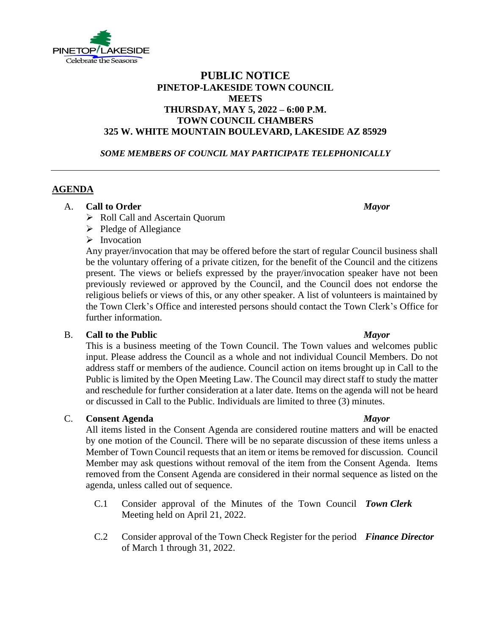

# **PUBLIC NOTICE PINETOP-LAKESIDE TOWN COUNCIL MEETS THURSDAY, MAY 5, 2022 – 6:00 P.M. TOWN COUNCIL CHAMBERS 325 W. WHITE MOUNTAIN BOULEVARD, LAKESIDE AZ 85929**

### *SOME MEMBERS OF COUNCIL MAY PARTICIPATE TELEPHONICALLY*

## **AGENDA**

### A. **Call to Order** *Mayor*

- ➢ Roll Call and Ascertain Quorum
- ➢ Pledge of Allegiance
- ➢ Invocation

Any prayer/invocation that may be offered before the start of regular Council business shall be the voluntary offering of a private citizen, for the benefit of the Council and the citizens present. The views or beliefs expressed by the prayer/invocation speaker have not been previously reviewed or approved by the Council, and the Council does not endorse the religious beliefs or views of this, or any other speaker. A list of volunteers is maintained by the Town Clerk's Office and interested persons should contact the Town Clerk's Office for further information.

### B. **Call to the Public** *Mayor*

This is a business meeting of the Town Council. The Town values and welcomes public input. Please address the Council as a whole and not individual Council Members. Do not address staff or members of the audience. Council action on items brought up in Call to the Public is limited by the Open Meeting Law. The Council may direct staff to study the matter and reschedule for further consideration at a later date. Items on the agenda will not be heard or discussed in Call to the Public. Individuals are limited to three (3) minutes.

### C. **Consent Agenda** *Mayor*

All items listed in the Consent Agenda are considered routine matters and will be enacted by one motion of the Council. There will be no separate discussion of these items unless a Member of Town Council requests that an item or items be removed for discussion. Council Member may ask questions without removal of the item from the Consent Agenda. Items removed from the Consent Agenda are considered in their normal sequence as listed on the agenda, unless called out of sequence.

- C.1 Consider approval of the Minutes of the Town Council *Town Clerk* Meeting held on April 21, 2022.
- C.2 Consider approval of the Town Check Register for the period *Finance Director*of March 1 through 31, 2022.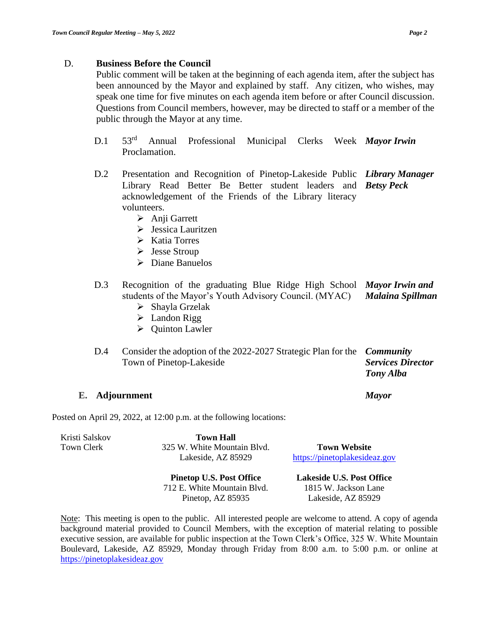### D. **Business Before the Council**

Public comment will be taken at the beginning of each agenda item, after the subject has been announced by the Mayor and explained by staff. Any citizen, who wishes, may speak one time for five minutes on each agenda item before or after Council discussion. Questions from Council members, however, may be directed to staff or a member of the public through the Mayor at any time.

- D.1 53rd Annual Professional Municipal Clerks Week *Mayor Irwin* Proclamation.
- $D.2$ Presentation and Recognition of Pinetop-Lakeside Public *Library Manager*  Library Read Better Be Better student leaders and *Betsy Peck* acknowledgement of the Friends of the Library literacy volunteers.
	- ➢ Anji Garrett
	- ➢ Jessica Lauritzen
	- ➢ Katia Torres
	- ➢ Jesse Stroup
	- ➢ Diane Banuelos
- D.3 Recognition of the graduating Blue Ridge High School *Mayor Irwin and*  students of the Mayor's Youth Advisory Council. (MYAC) *Malaina Spillman*
	- ➢ Shayla Grzelak
	- ➢ Landon Rigg
	- ➢ Quinton Lawler
- D.4 Consider the adoption of the 2022-2027 Strategic Plan for the *Community*  Town of Pinetop-Lakeside *Services Director Tony Alba*

### **E. Adjournment** *Mayor*

Posted on April 29, 2022, at 12:00 p.m. at the following locations:

| Kristi Salskov<br>Town Clerk | <b>Town Hall</b><br>325 W. White Mountain Blvd.<br>Lakeside, AZ 85929 | <b>Town Website</b><br>https://pinetoplakesideaz.gov |
|------------------------------|-----------------------------------------------------------------------|------------------------------------------------------|
|                              | <b>Pinetop U.S. Post Office</b>                                       | <b>Lakeside U.S. Post Office</b>                     |
|                              | 712 E. White Mountain Blvd.                                           | 1815 W. Jackson Lane                                 |
|                              | Pinetop, AZ 85935                                                     | Lakeside, AZ 85929                                   |

Note: This meeting is open to the public. All interested people are welcome to attend. A copy of agenda background material provided to Council Members, with the exception of material relating to possible executive session, are available for public inspection at the Town Clerk's Office, 325 W. White Mountain Boulevard, Lakeside, AZ 85929, Monday through Friday from 8:00 a.m. to 5:00 p.m. or online at [https://pinetoplakesidea](https://pinetoplakesideaz.gov/)z.gov